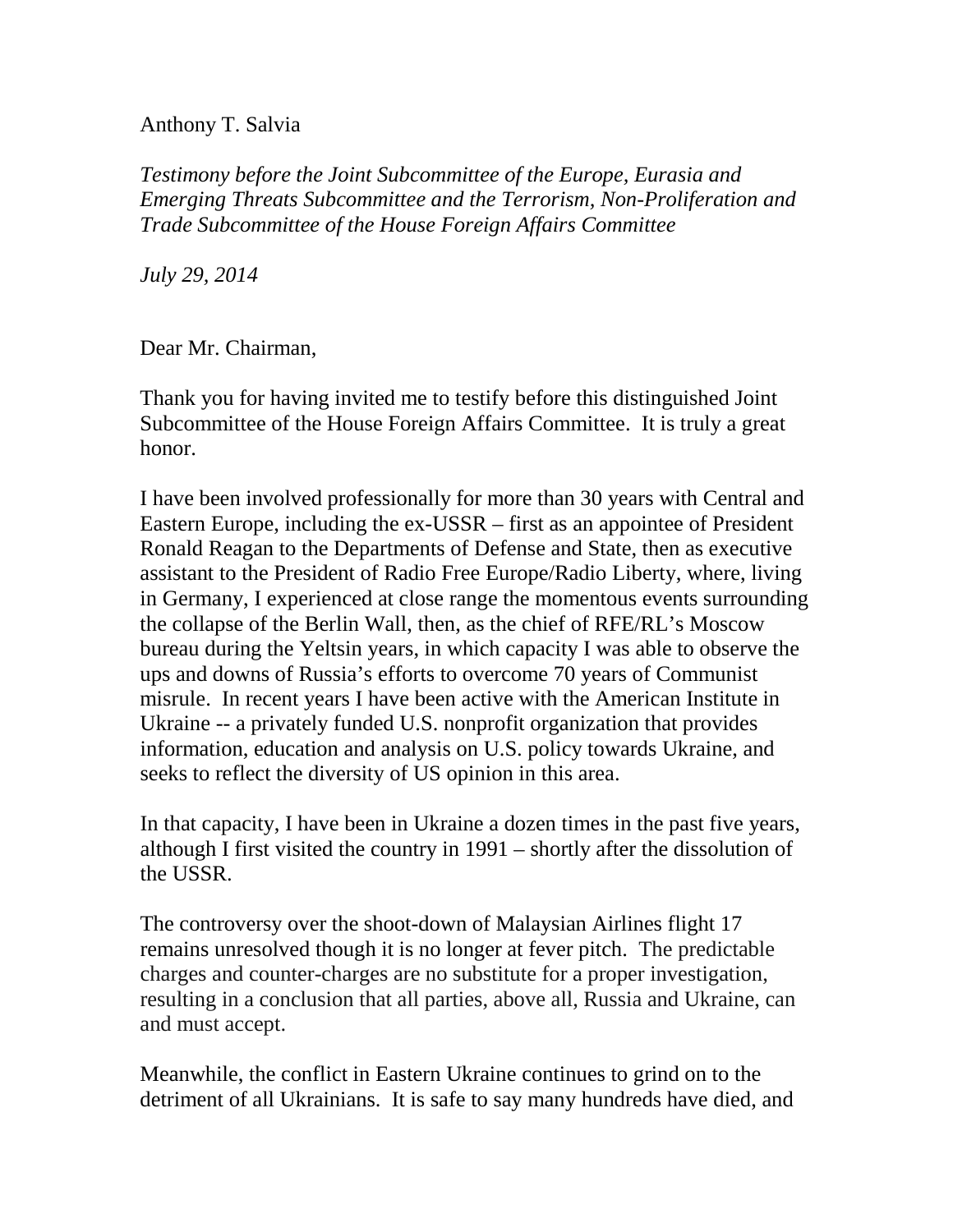## Anthony T. Salvia

*Testimony before the Joint Subcommittee of the Europe, Eurasia and Emerging Threats Subcommittee and the Terrorism, Non-Proliferation and Trade Subcommittee of the House Foreign Affairs Committee*

*July 29, 2014*

Dear Mr. Chairman,

Thank you for having invited me to testify before this distinguished Joint Subcommittee of the House Foreign Affairs Committee. It is truly a great honor.

I have been involved professionally for more than 30 years with Central and Eastern Europe, including the ex-USSR – first as an appointee of President Ronald Reagan to the Departments of Defense and State, then as executive assistant to the President of Radio Free Europe/Radio Liberty, where, living in Germany, I experienced at close range the momentous events surrounding the collapse of the Berlin Wall, then, as the chief of RFE/RL's Moscow bureau during the Yeltsin years, in which capacity I was able to observe the ups and downs of Russia's efforts to overcome 70 years of Communist misrule. In recent years I have been active with the American Institute in Ukraine -- a privately funded U.S. nonprofit organization that provides information, education and analysis on U.S. policy towards Ukraine, and seeks to reflect the diversity of US opinion in this area.

In that capacity, I have been in Ukraine a dozen times in the past five years, although I first visited the country in 1991 – shortly after the dissolution of the USSR.

The controversy over the shoot-down of Malaysian Airlines flight 17 remains unresolved though it is no longer at fever pitch. The predictable charges and counter-charges are no substitute for a proper investigation, resulting in a conclusion that all parties, above all, Russia and Ukraine, can and must accept.

Meanwhile, the conflict in Eastern Ukraine continues to grind on to the detriment of all Ukrainians. It is safe to say many hundreds have died, and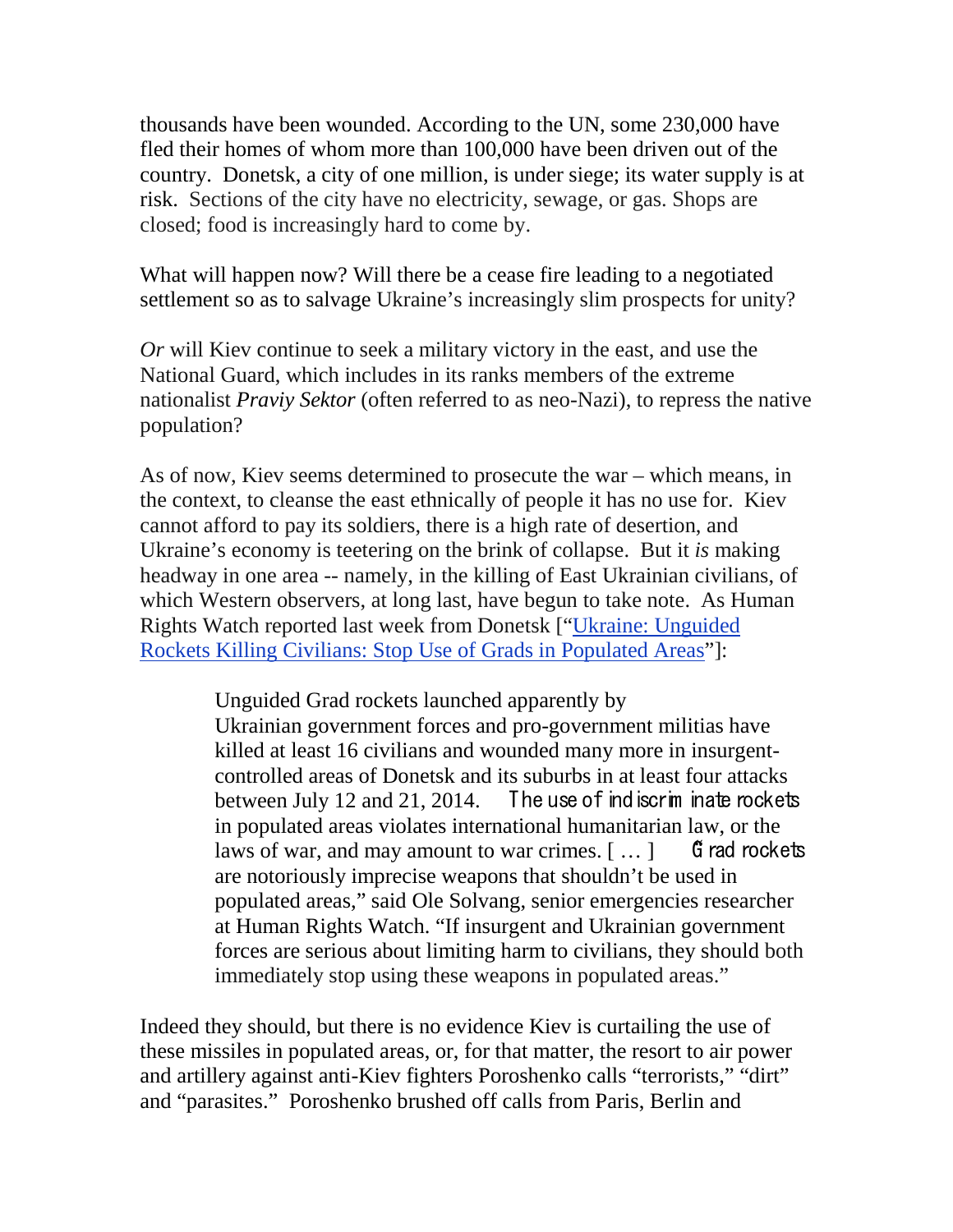thousands have been wounded. According to the UN, some 230,000 have fled their homes of whom more than 100,000 have been driven out of the country. Donetsk, a city of one million, is under siege; its water supply is at risk. Sections of the city have no electricity, sewage, or gas. Shops are closed; food is increasingly hard to come by.

What will happen now? Will there be a cease fire leading to a negotiated settlement so as to salvage Ukraine's increasingly slim prospects for unity?

*Or* will Kiev continue to seek a military victory in the east, and use the National Guard, which includes in its ranks members of the extreme nationalist *Praviy Sektor* (often referred to as neo-Nazi), to repress the native population?

As of now, Kiev seems determined to prosecute the war – which means, in the context, to cleanse the east ethnically of people it has no use for. Kiev cannot afford to pay its soldiers, there is a high rate of desertion, and Ukraine's economy is teetering on the brink of collapse. But it *is* making headway in one area -- namely, in the killing of East Ukrainian civilians, of which Western observers, at long last, have begun to take note. As Human Rights Watch reported last week from Donetsk [["Ukraine: Unguided](http://www.hrw.org/news/2014/07/24/ukraine-unguided-rockets-killing-civilians)  [Rockets Killing Civilians: Stop Use of Grads in Populated Areas"](http://www.hrw.org/news/2014/07/24/ukraine-unguided-rockets-killing-civilians)]:

> Unguided Grad rockets launched apparently by [Ukrainian](http://www.hrw.org/europecentral-asia/ukraine) government forces and pro-government militias have killed at least 16 civilians and wounded many more in insurgentcontrolled areas of Donetsk and its suburbs in at least four attacks between July 12 and 21, 2014. The use of indiscrim inate rockets in populated areas violates international humanitarian law, or the laws of war, and may amount to war crimes.  $[$  ...  $]$  **G** rad rockets are notoriously imprecise weapons that shouldn't be used in populated areas," said [Ole Solvang,](http://www.hrw.org/bios/ole-solvang) senior emergencies researcher at Human Rights Watch. "If insurgent and Ukrainian government forces are serious about limiting harm to civilians, they should both immediately stop using these weapons in populated areas."

Indeed they should, but there is no evidence Kiev is curtailing the use of these missiles in populated areas, or, for that matter, the resort to air power and artillery against anti-Kiev fighters Poroshenko calls "terrorists," "dirt" and "parasites." Poroshenko brushed off calls from Paris, Berlin and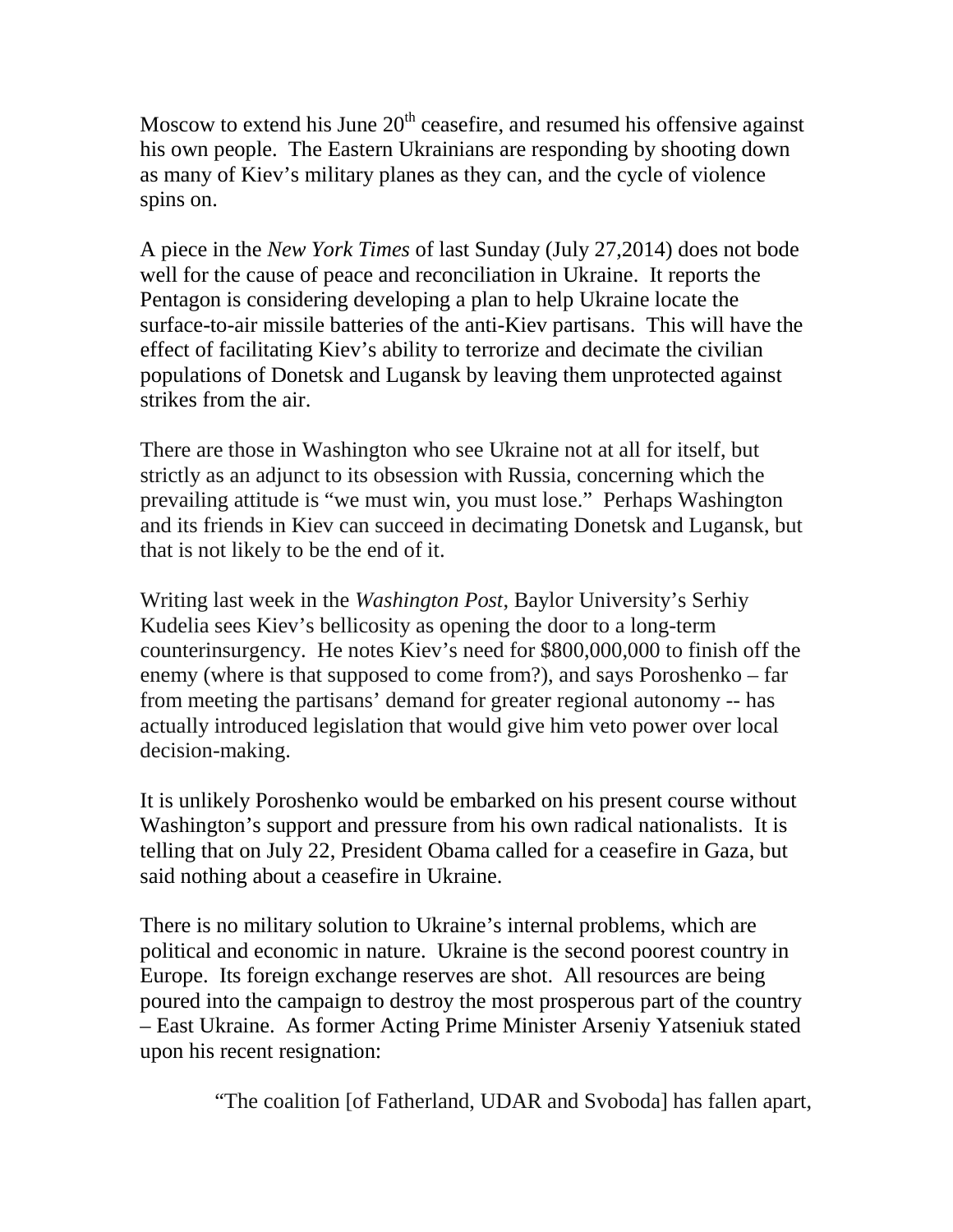Moscow to extend his June  $20<sup>th</sup>$  ceasefire, and resumed his offensive against his own people. The Eastern Ukrainians are responding by shooting down as many of Kiev's military planes as they can, and the cycle of violence spins on.

A piece in the *New York Times* of last Sunday (July 27,2014) does not bode well for the cause of peace and reconciliation in Ukraine. It reports the Pentagon is considering developing a plan to help Ukraine locate the surface-to-air missile batteries of the anti-Kiev partisans. This will have the effect of facilitating Kiev's ability to terrorize and decimate the civilian populations of Donetsk and Lugansk by leaving them unprotected against strikes from the air.

There are those in Washington who see Ukraine not at all for itself, but strictly as an adjunct to its obsession with Russia, concerning which the prevailing attitude is "we must win, you must lose." Perhaps Washington and its friends in Kiev can succeed in decimating Donetsk and Lugansk, but that is not likely to be the end of it.

Writing last week in the *Washington Post*, Baylor University's Serhiy Kudelia sees Kiev's bellicosity as opening the door to a long-term counterinsurgency. He notes Kiev's need for \$800,000,000 to finish off the enemy (where is that supposed to come from?), and says Poroshenko – far from meeting the partisans' demand for greater regional autonomy -- has actually introduced legislation that would give him veto power over local decision-making.

It is unlikely Poroshenko would be embarked on his present course without Washington's support and pressure from his own radical nationalists. It is telling that on July 22, President Obama called for a ceasefire in Gaza, but said nothing about a ceasefire in Ukraine.

There is no military solution to Ukraine's internal problems, which are political and economic in nature. Ukraine is the second poorest country in Europe. Its foreign exchange reserves are shot. All resources are being poured into the campaign to destroy the most prosperous part of the country – East Ukraine. As former Acting Prime Minister Arseniy Yatseniuk stated upon his recent resignation:

"The coalition [of Fatherland, UDAR and Svoboda] has fallen apart,